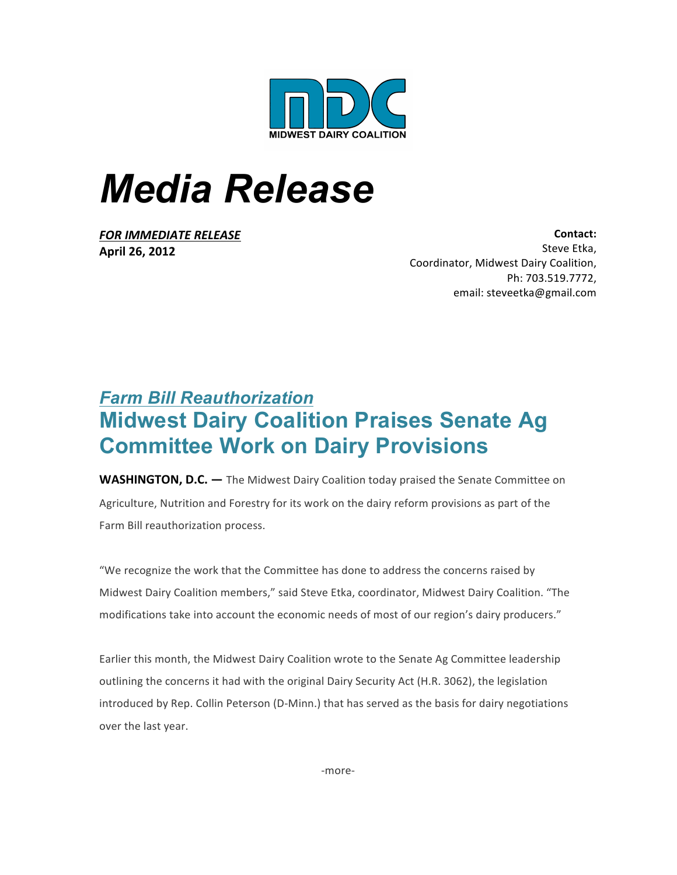

## *Media Release*

**FOR IMMEDIATE RELEASE April 26, 2012**

Contact: Steve Etka. Coordinator, Midwest Dairy Coalition, Ph: 703.519.7772, email: steveetka@gmail.com

## *Farm Bill Reauthorization* **Midwest Dairy Coalition Praises Senate Ag Committee Work on Dairy Provisions**

**WASHINGTON, D.C.** — The Midwest Dairy Coalition today praised the Senate Committee on Agriculture, Nutrition and Forestry for its work on the dairy reform provisions as part of the Farm Bill reauthorization process.

"We recognize the work that the Committee has done to address the concerns raised by Midwest Dairy Coalition members," said Steve Etka, coordinator, Midwest Dairy Coalition. "The modifications take into account the economic needs of most of our region's dairy producers."

Earlier this month, the Midwest Dairy Coalition wrote to the Senate Ag Committee leadership outlining the concerns it had with the original Dairy Security Act (H.R. 3062), the legislation introduced by Rep. Collin Peterson (D-Minn.) that has served as the basis for dairy negotiations over the last year.

-more-